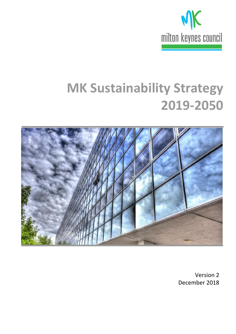

# **MK Sustainability Strategy 2019-2050**



Version 2 December 2018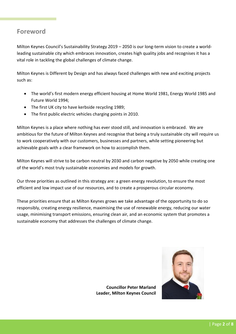## **Foreword**

Milton Keynes Council's Sustainability Strategy 2019 – 2050 is our long-term vision to create a worldleading sustainable city which embraces innovation, creates high quality jobs and recognises it has a vital role in tackling the global challenges of climate change.

Milton Keynes is Different by Design and has always faced challenges with new and exciting projects such as:

- The world's first modern energy efficient housing at Home World 1981, Energy World 1985 and Future World 1994;
- The first UK city to have kerbside recycling 1989;
- The first public electric vehicles charging points in 2010.

Milton Keynes is a place where nothing has ever stood still, and innovation is embraced. We are ambitious for the future of Milton Keynes and recognise that being a truly sustainable city will require us to work cooperatively with our customers, businesses and partners, while setting pioneering but achievable goals with a clear framework on how to accomplish them.

Milton Keynes will strive to be carbon neutral by 2030 and carbon negative by 2050 while creating one of the world's most truly sustainable economies and models for growth.

Our three priorities as outlined in this strategy are: a green energy revolution, to ensure the most efficient and low impact use of our resources, and to create a prosperous circular economy.

These priorities ensure that as Milton Keynes grows we take advantage of the opportunity to do so responsibly, creating energy resilience, maximising the use of renewable energy, reducing our water usage, minimising transport emissions, ensuring clean air, and an economic system that promotes a sustainable economy that addresses the challenges of climate change.



**Councillor Peter Marland Leader, Milton Keynes Council**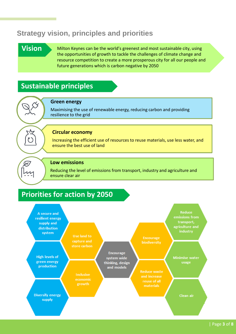# **Strategy vision, principles and priorities**

# **Vision**

**Forewo**

 $\mathcal{Q}$ 

Milton Keynes can be the world's greenest and most sustainable city, using the opportunities of growth to tackle the challenges of climate change and resource competition to create a more prosperous city for all our people and future generations which is carbon negative by 2050

# **Sustainable principles**

#### **Green energy**

Maximising the use of renewable energy, reducing carbon and providing resilience to the grid

#### **Circular economy**

Increasing the efficient use of resources to reuse materials, use less water, and ensure the best use of land

#### **Low emissions**

Reducing the level of emissions from transport, industry and agriculture and ensure clear air

# **Priorities for action by 2050**

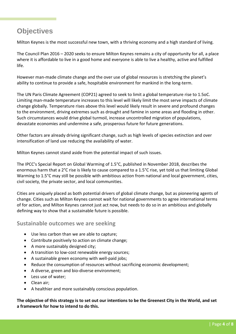# **Objectives**

Milton Keynes is the most successful new town, with a thriving economy and a high standard of living.

The Council Plan 2016 – 2020 seeks to ensure Milton Keynes remains a city of opportunity for all, a place where it is affordable to live in a good home and everyone is able to live a healthy, active and fulfilled life.

However man-made climate change and the over use of global resources is stretching the planet's ability to continue to provide a safe, hospitable environment for mankind in the long-term.

The UN Paris Climate Agreement (COP21) agreed to seek to limit a global temperature rise to 1.5oC. Limiting man-made temperature increases to this level will likely limit the most serve impacts of climate change globally. Temperature rises above this level would likely result in severe and profound changes to the environment, driving extremes such as drought and famine in some areas and flooding in other. Such circumstances would drive global turmoil, increase uncontrolled migration of populations, devastate economies and undermine a safe, prosperous future for future generations.

Other factors are already driving significant change, such as high levels of species extinction and over intensification of land use reducing the availability of water.

Milton Keynes cannot stand aside from the potential impact of such issues.

The IPCC's Special Report on Global Warming of 1.5°C, published in November 2018, describes the enormous harm that a 2°C rise is likely to cause compared to a 1.5°C rise, yet told us that limiting Global Warming to 1.5<sup>°</sup>C may still be possible with ambitious action from national and local government, cities, civil society, the private sector, and local communities.

Cities are uniquely placed as both potential drivers of global climate change, but as pioneering agents of change. Cities such as Milton Keynes cannot wait for national governments to agree international terms of for action, and Milton Keynes cannot just act now, but needs to do so in an ambitious and globally defining way to show that a sustainable future is possible.

**Sustainable outcomes we are seeking**

- Use less carbon than we are able to capture;
- Contribute positively to action on climate change;
- A more sustainably designed city;
- A transition to low-cost renewable energy sources;
- A sustainable green economy with well-paid jobs;
- Reduce the consumption of resources without sacrificing economic development;
- A diverse, green and bio-diverse environment;
- Less use of water;
- Clean air;
- A healthier and more sustainably conscious population.

**The objective of this strategy is to set out our intentions to be the Greenest City in the World, and set a framework for how to intend to do this.**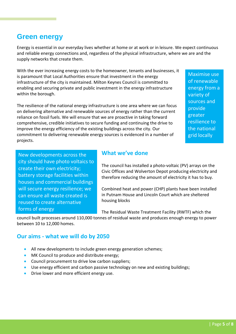#### | Page **5** of **8**

# **Green energy**

Energy is essential in our everyday lives whether at home or at work or in leisure. We expect continuous and reliable energy connections and, regardless of the physical infrastructure, where we are and the supply networks that create them.

With the ever increasing energy costs to the homeowner, tenants and businesses, it is paramount that Local Authorities ensure that investment in the energy infrastructure of the city is maintained. Milton Keynes Council is committed to enabling and securing private and public investment in the energy infrastructure within the borough.

The resilience of the national energy infrastructure is one area where we can focus on delivering alternative and renewable sources of energy rather than the current reliance on fossil fuels. We will ensure that we are proactive in taking forward comprehensive, credible initiatives to secure funding and continuing the drive to improve the energy efficiency of the existing buildings across the city. Our commitment to delivering renewable energy sources is evidenced in a number of projects.

New developments across the city should have photo voltaics to create their own electricity; battery storage facilities within houses and commercial buildings will secure energy resilience; we can ensure all waste created is reused to create alternative forms of energy

## **What we've done**

The council has installed a photo-voltaic (PV) arrays on the Civic Offices and Wolverton Depot producing electricity and therefore reducing the amount of electricity it has to buy.

Combined heat and power (CHP) plants have been installed in Putnam House and Lincoln Court which are sheltered housing blocks

The Residual Waste Treatment Facility (RWTF) which the

council built processes around 110,000 tonnes of residual waste and produces enough energy to power between 10 to 12,000 homes.

### **Our aims - what we will do by 2050**

- All new developments to include green energy generation schemes;
- MK Council to produce and distribute energy;
- Council procurement to drive low carbon suppliers;
- Use energy efficient and carbon passive technology on new and existing buildings;
- Drive lower and more efficient energy use.

Maximise use of renewable energy from a variety of sources and provide greater resilience to the national grid locally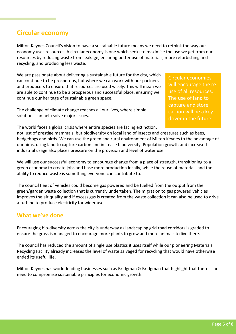# **Circular economy**

Milton Keynes Council's vision to have a sustainable future means we need to rethink the way our economy uses resources. A circular economy is one which seeks to maximise the use we get from our resources by reducing waste from leakage, ensuring better use of materials, more refurbishing and recycling, and producing less waste.

We are passionate about delivering a sustainable future for the city, which can continue to be prosperous, but where we can work with our partners and producers to ensure that resources are used wisely. This will mean we are able to continue to be a prosperous and successful place, ensuring we continue our heritage of sustainable green space.

The challenge of climate change reaches all our lives, where simple solutions can help solve major issues.

Circular economies will encourage the reuse of all resources. The use of land to capture and store carbon will be a key driver in the future

The world faces a global crisis where entire species are facing extinction,

not just of prestige mammals, but biodiversity on local land of insects and creatures such as bees, hedgehogs and birds. We can use the green and rural environment of Milton Keynes to the advantage of our aims, using land to capture carbon and increase biodiversity. Population growth and increased industrial usage also places pressure on the provision and level of water use.

We will use our successful economy to encourage change from a place of strength, transitioning to a green economy to create jobs and base more production locally, while the reuse of materials and the ability to reduce waste is something everyone can contribute to.

The council fleet of vehicles could become gas powered and be fuelled from the output from the green/garden waste collection that is currently undertaken. The migration to gas powered vehicles improves the air quality and if excess gas is created from the waste collection it can also be used to drive a turbine to produce electricity for wider use.

## **What we've done**

Encouraging bio-diversity across the city is underway as landscaping grid road corridors is graded to ensure the grass is managed to encourage more plants to grow and more animals to live there.

The council has reduced the amount of single use plastics it uses itself while our pioneering Materials Recycling Facility already increases the level of waste salvaged for recycling that would have otherwise ended its useful life.

Milton Keynes has world-leading businesses such as Bridgman & Bridgman that highlight that there is no need to compromise sustainable principles for economic growth.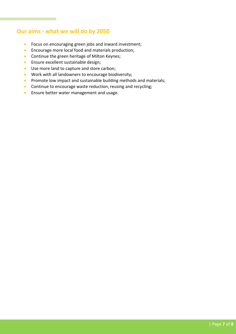## **Our aims - what we will do by 2050**

- **•** Focus on encouraging green jobs and inward investment;
- **Encourage more local food and materials production;**
- **Continue the green heritage of Milton Keynes;**
- **Ensure excellent sustainable design;**
- Use more land to capture and store carbon;
- Work with all landowners to encourage biodiversity;
- Promote low impact and sustainable building methods and materials;
- Continue to encourage waste reduction, reusing and recycling;
- **•** Ensure better water management and usage.